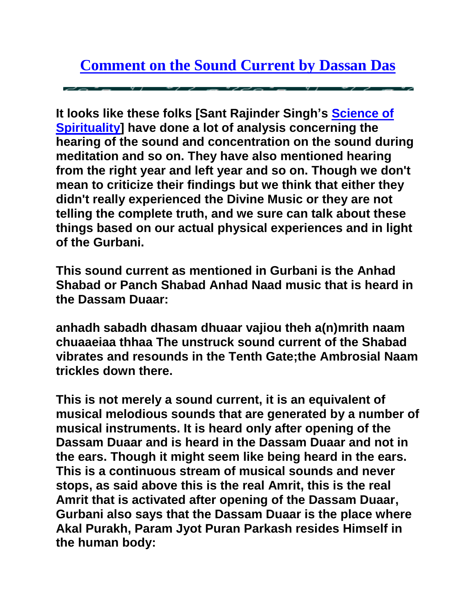**It looks like these folks [Sant Rajinder Singh's [Science of](http://sos.org/)  [Spirituality\]](http://sos.org/) have done a lot of analysis concerning the hearing of the sound and concentration on the sound during meditation and so on. They have also mentioned hearing from the right year and left year and so on. Though we don't mean to criticize their findings but we think that either they didn't really experienced the Divine Music or they are not telling the complete truth, and we sure can talk about these things based on our actual physical experiences and in light of the Gurbani.**

**This sound current as mentioned in Gurbani is the Anhad Shabad or Panch Shabad Anhad Naad music that is heard in the Dassam Duaar:**

**anhadh sabadh dhasam dhuaar vajiou theh a(n)mrith naam chuaaeiaa thhaa The unstruck sound current of the Shabad vibrates and resounds in the Tenth Gate;the Ambrosial Naam trickles down there.** 

**This is not merely a sound current, it is an equivalent of musical melodious sounds that are generated by a number of musical instruments. It is heard only after opening of the Dassam Duaar and is heard in the Dassam Duaar and not in the ears. Though it might seem like being heard in the ears. This is a continuous stream of musical sounds and never stops, as said above this is the real Amrit, this is the real Amrit that is activated after opening of the Dassam Duaar, Gurbani also says that the Dassam Duaar is the place where Akal Purakh, Param Jyot Puran Parkash resides Himself in the human body:**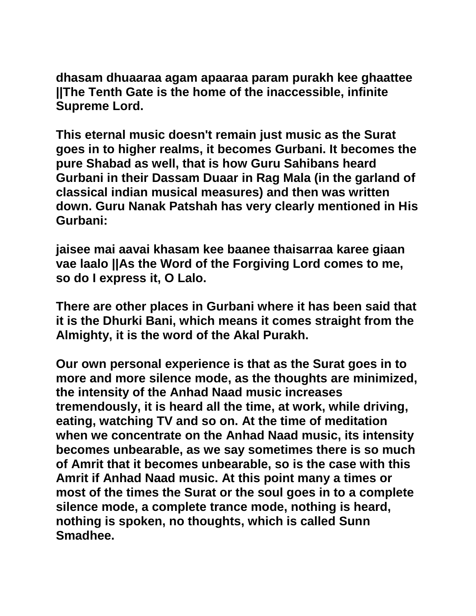**dhasam dhuaaraa agam apaaraa param purakh kee ghaattee ||The Tenth Gate is the home of the inaccessible, infinite Supreme Lord.**

**This eternal music doesn't remain just music as the Surat goes in to higher realms, it becomes Gurbani. It becomes the pure Shabad as well, that is how Guru Sahibans heard Gurbani in their Dassam Duaar in Rag Mala (in the garland of classical indian musical measures) and then was written down. Guru Nanak Patshah has very clearly mentioned in His Gurbani:**

**jaisee mai aavai khasam kee baanee thaisarraa karee giaan vae laalo ||As the Word of the Forgiving Lord comes to me, so do I express it, O Lalo.**

**There are other places in Gurbani where it has been said that it is the Dhurki Bani, which means it comes straight from the Almighty, it is the word of the Akal Purakh.**

**Our own personal experience is that as the Surat goes in to more and more silence mode, as the thoughts are minimized, the intensity of the Anhad Naad music increases tremendously, it is heard all the time, at work, while driving, eating, watching TV and so on. At the time of meditation when we concentrate on the Anhad Naad music, its intensity becomes unbearable, as we say sometimes there is so much of Amrit that it becomes unbearable, so is the case with this Amrit if Anhad Naad music. At this point many a times or most of the times the Surat or the soul goes in to a complete silence mode, a complete trance mode, nothing is heard, nothing is spoken, no thoughts, which is called Sunn Smadhee.**